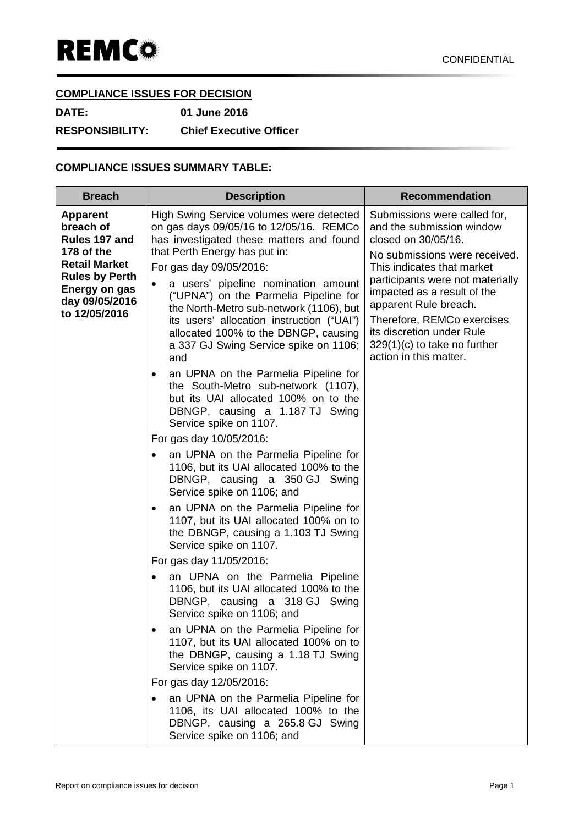## **COMPLIANCE ISSUES FOR DECISION**

**DATE: 01 June 2016 RESPONSIBILITY: Chief Executive Officer**

## **COMPLIANCE ISSUES SUMMARY TABLE:**

| <b>Breach</b>                                                                                                                                                    | <b>Description</b>                                                                                                                                                                                                                                                                                                                                                                                                                                                       | <b>Recommendation</b>                                                                                                                                                                                                                                                                                                                                              |
|------------------------------------------------------------------------------------------------------------------------------------------------------------------|--------------------------------------------------------------------------------------------------------------------------------------------------------------------------------------------------------------------------------------------------------------------------------------------------------------------------------------------------------------------------------------------------------------------------------------------------------------------------|--------------------------------------------------------------------------------------------------------------------------------------------------------------------------------------------------------------------------------------------------------------------------------------------------------------------------------------------------------------------|
| <b>Apparent</b><br>breach of<br>Rules 197 and<br>178 of the<br><b>Retail Market</b><br><b>Rules by Perth</b><br>Energy on gas<br>day 09/05/2016<br>to 12/05/2016 | High Swing Service volumes were detected<br>on gas days 09/05/16 to 12/05/16. REMCo<br>has investigated these matters and found<br>that Perth Energy has put in:<br>For gas day 09/05/2016:<br>a users' pipeline nomination amount<br>$\bullet$<br>("UPNA") on the Parmelia Pipeline for<br>the North-Metro sub-network (1106), but<br>its users' allocation instruction ("UAI")<br>allocated 100% to the DBNGP, causing<br>a 337 GJ Swing Service spike on 1106;<br>and | Submissions were called for,<br>and the submission window<br>closed on 30/05/16.<br>No submissions were received.<br>This indicates that market<br>participants were not materially<br>impacted as a result of the<br>apparent Rule breach.<br>Therefore, REMCo exercises<br>its discretion under Rule<br>$329(1)(c)$ to take no further<br>action in this matter. |
|                                                                                                                                                                  | an UPNA on the Parmelia Pipeline for<br>$\bullet$<br>the South-Metro sub-network (1107),<br>but its UAI allocated 100% on to the<br>DBNGP, causing a 1.187 TJ Swing<br>Service spike on 1107.                                                                                                                                                                                                                                                                            |                                                                                                                                                                                                                                                                                                                                                                    |
|                                                                                                                                                                  | For gas day 10/05/2016:<br>an UPNA on the Parmelia Pipeline for<br>$\bullet$<br>1106, but its UAI allocated 100% to the<br>DBNGP, causing a 350 GJ Swing<br>Service spike on 1106; and                                                                                                                                                                                                                                                                                   |                                                                                                                                                                                                                                                                                                                                                                    |
|                                                                                                                                                                  | an UPNA on the Parmelia Pipeline for<br>$\bullet$<br>1107, but its UAI allocated 100% on to<br>the DBNGP, causing a 1.103 TJ Swing<br>Service spike on 1107.                                                                                                                                                                                                                                                                                                             |                                                                                                                                                                                                                                                                                                                                                                    |
|                                                                                                                                                                  | For gas day 11/05/2016:<br>an UPNA on the Parmelia Pipeline<br>$\bullet$<br>1106, but its UAI allocated 100% to the<br>DBNGP, causing a 318 GJ Swing<br>Service spike on 1106; and                                                                                                                                                                                                                                                                                       |                                                                                                                                                                                                                                                                                                                                                                    |
|                                                                                                                                                                  | an UPNA on the Parmelia Pipeline for<br>1107, but its UAI allocated 100% on to<br>the DBNGP, causing a 1.18 TJ Swing<br>Service spike on 1107.                                                                                                                                                                                                                                                                                                                           |                                                                                                                                                                                                                                                                                                                                                                    |
|                                                                                                                                                                  | For gas day 12/05/2016:<br>an UPNA on the Parmelia Pipeline for<br>1106, its UAI allocated 100% to the<br>DBNGP, causing a 265.8 GJ Swing<br>Service spike on 1106; and                                                                                                                                                                                                                                                                                                  |                                                                                                                                                                                                                                                                                                                                                                    |